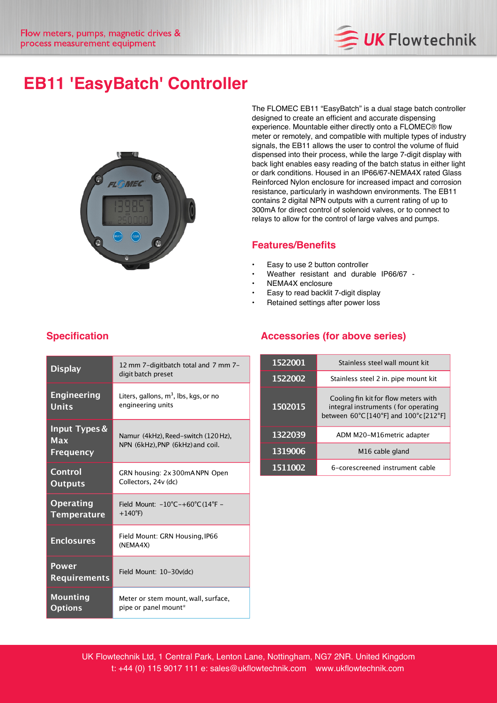

# **EB11 'EasyBatch' Controller**



The FLOMEC EB11 "EasyBatch" is a dual stage batch controller designed to create an efficient and accurate dispensing experience. Mountable either directly onto a FLOMEC® flow meter or remotely, and compatible with multiple types of industry signals, the EB11 allows the user to control the volume of fluid dispensed into their process, while the large 7-digit display with back light enables easy reading of the batch status in either light or dark conditions. Housed in an IP66/67-NEMA4X rated Glass Reinforced Nylon enclosure for increased impact and corrosion resistance, particularly in washdown environments. The EB11 contains 2 digital NPN outputs with a current rating of up to 300mA for direct control of solenoid valves, or to connect to relays to allow for the control of large valves and pumps.

#### **Features/Benefits**

- Easy to use 2 button controller
- Weather resistant and durable IP66/67 -
- NEMA4X enclosure
- Easy to read backlit 7-digit display
- Retained settings after power loss

| <b>Display</b>                                      | 12 mm 7-digitbatch total and 7 mm 7-<br>digit batch preset              |
|-----------------------------------------------------|-------------------------------------------------------------------------|
| <b>Engineering</b><br>Units                         | Liters, gallons, m <sup>3</sup> , lbs, kgs, or no<br>engineering units  |
| <b>Input Types &amp;</b><br>Max<br><b>Frequency</b> | Namur (4kHz), Reed-switch (120 Hz),<br>NPN (6kHz), PNP (6kHz) and coil. |
| Control<br><b>Outputs</b>                           | GRN housing: 2x300mANPN Open<br>Collectors, 24v (dc)                    |
| <b>Operating</b><br><b>Temperature</b>              | Field Mount: -10°C-+60°C (14°F -<br>$+140^{\circ}F$                     |
| <b>Enclosures</b>                                   | Field Mount: GRN Housing, IP66<br>(NEMA4X)                              |
| Power<br><b>Requirements</b>                        | Field Mount: 10-30v(dc)                                                 |
| Mounting<br><b>Options</b>                          | Meter or stem mount, wall, surface,<br>pipe or panel mount*             |

### **Specification**

#### **Accessories (for above series)**

| 1522001 | Stainless steel wall mount kit                                                                                        |
|---------|-----------------------------------------------------------------------------------------------------------------------|
| 1522002 | Stainless steel 2 in. pipe mount kit                                                                                  |
| 1502015 | Cooling fin kit for flow meters with<br>integral instruments (for operating<br>between 60°C [140°F] and 100°c [212°F] |
| 1322039 | ADM M20-M16 metric adapter                                                                                            |
| 1319006 | M <sub>16</sub> cable gland                                                                                           |
| 1511002 | 6-corescreened instrument cable                                                                                       |